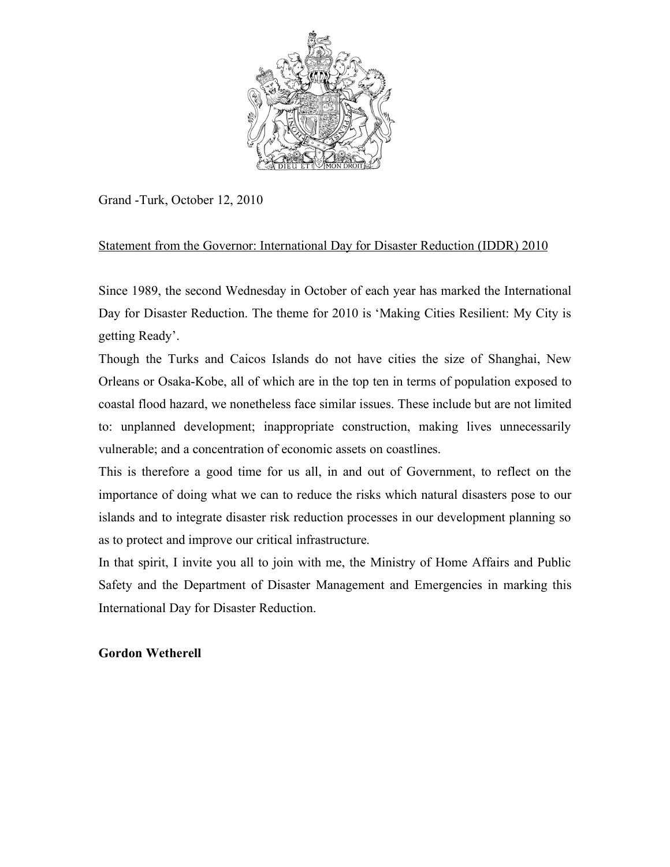

Grand -Turk, October 12, 2010

# Statement from the Governor: International Day for Disaster Reduction (IDDR) 2010

Since 1989, the second Wednesday in October of each year has marked the International Day for Disaster Reduction. The theme for 2010 is 'Making Cities Resilient: My City is getting Ready'.

Though the Turks and Caicos Islands do not have cities the size of Shanghai, New Orleans or Osaka-Kobe, all of which are in the top ten in terms of population exposed to coastal flood hazard, we nonetheless face similar issues. These include but are not limited to: unplanned development; inappropriate construction, making lives unnecessarily vulnerable; and a concentration of economic assets on coastlines.

This is therefore a good time for us all, in and out of Government, to reflect on the importance of doing what we can to reduce the risks which natural disasters pose to our islands and to integrate disaster risk reduction processes in our development planning so as to protect and improve our critical infrastructure.

In that spirit, I invite you all to join with me, the Ministry of Home Affairs and Public Safety and the Department of Disaster Management and Emergencies in marking this International Day for Disaster Reduction.

## **Gordon Wetherell**